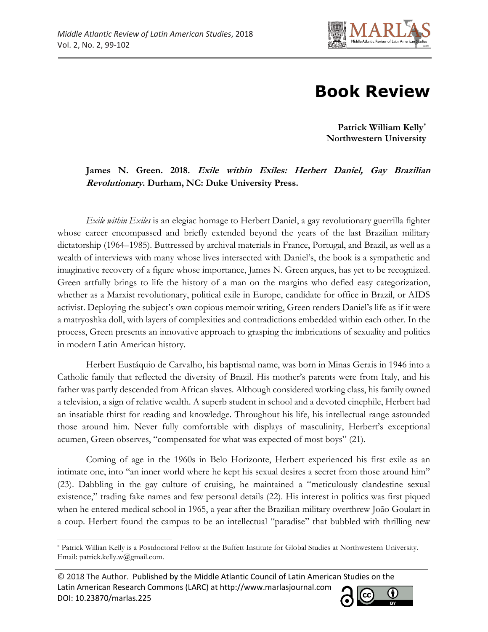

## **Book Review**

**Patrick William Kelly\* Northwestern University**

## **James N. Green. 2018. Exile within Exiles: Herbert Daniel, Gay Brazilian Revolutionary. Durham, NC: Duke University Press.**

*Exile within Exiles* is an elegiac homage to Herbert Daniel, a gay revolutionary guerrilla fighter whose career encompassed and briefly extended beyond the years of the last Brazilian military dictatorship (1964–1985). Buttressed by archival materials in France, Portugal, and Brazil, as well as a wealth of interviews with many whose lives intersected with Daniel's, the book is a sympathetic and imaginative recovery of a figure whose importance, James N. Green argues, has yet to be recognized. Green artfully brings to life the history of a man on the margins who defied easy categorization, whether as a Marxist revolutionary, political exile in Europe, candidate for office in Brazil, or AIDS activist. Deploying the subject's own copious memoir writing, Green renders Daniel's life as if it were a matryoshka doll, with layers of complexities and contradictions embedded within each other. In the process, Green presents an innovative approach to grasping the imbrications of sexuality and politics in modern Latin American history.

Herbert Eustáquio de Carvalho, his baptismal name, was born in Minas Gerais in 1946 into a Catholic family that reflected the diversity of Brazil. His mother's parents were from Italy, and his father was partly descended from African slaves. Although considered working class, his family owned a television, a sign of relative wealth. A superb student in school and a devoted cinephile, Herbert had an insatiable thirst for reading and knowledge. Throughout his life, his intellectual range astounded those around him. Never fully comfortable with displays of masculinity, Herbert's exceptional acumen, Green observes, "compensated for what was expected of most boys" (21).

Coming of age in the 1960s in Belo Horizonte, Herbert experienced his first exile as an intimate one, into "an inner world where he kept his sexual desires a secret from those around him" (23). Dabbling in the gay culture of cruising, he maintained a "meticulously clandestine sexual existence," trading fake names and few personal details (22). His interest in politics was first piqued when he entered medical school in 1965, a year after the Brazilian military overthrew João Goulart in a coup. Herbert found the campus to be an intellectual "paradise" that bubbled with thrilling new

<sup>© 2018</sup> The Author. Published by the Middle Atlantic Council of Latin American Studies on the Latin American Research Commons (LARC) at http://www.marlasjournal.com **CC** DOI: [10.23870/marlas.225](https://doi.org/10.23870/marlas.225)



l \* Patrick Willian Kelly is a Postdoctoral Fellow at the Buffett Institute for Global Studies at Northwestern University. Email: patrick.kelly.w@gmail.com.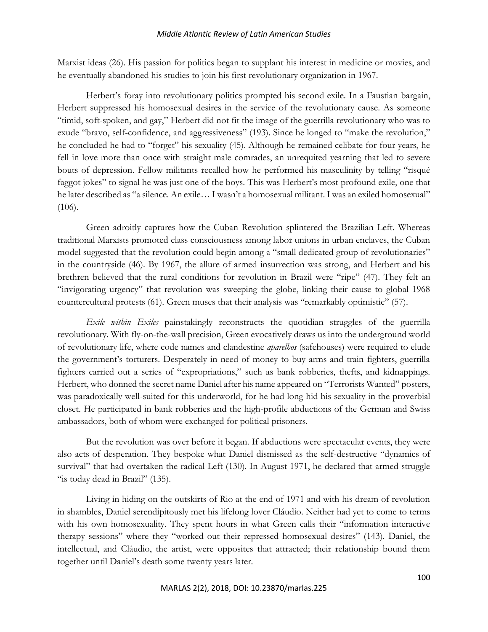Marxist ideas (26). His passion for politics began to supplant his interest in medicine or movies, and he eventually abandoned his studies to join his first revolutionary organization in 1967.

Herbert's foray into revolutionary politics prompted his second exile. In a Faustian bargain, Herbert suppressed his homosexual desires in the service of the revolutionary cause. As someone "timid, soft-spoken, and gay," Herbert did not fit the image of the guerrilla revolutionary who was to exude "bravo, self-confidence, and aggressiveness" (193). Since he longed to "make the revolution," he concluded he had to "forget" his sexuality (45). Although he remained celibate for four years, he fell in love more than once with straight male comrades, an unrequited yearning that led to severe bouts of depression. Fellow militants recalled how he performed his masculinity by telling "risqué faggot jokes" to signal he was just one of the boys. This was Herbert's most profound exile, one that he later described as "a silence. An exile… I wasn't a homosexual militant. I was an exiled homosexual" (106).

Green adroitly captures how the Cuban Revolution splintered the Brazilian Left. Whereas traditional Marxists promoted class consciousness among labor unions in urban enclaves, the Cuban model suggested that the revolution could begin among a "small dedicated group of revolutionaries" in the countryside (46). By 1967, the allure of armed insurrection was strong, and Herbert and his brethren believed that the rural conditions for revolution in Brazil were "ripe" (47). They felt an "invigorating urgency" that revolution was sweeping the globe, linking their cause to global 1968 countercultural protests (61). Green muses that their analysis was "remarkably optimistic" (57).

*Exile within Exiles* painstakingly reconstructs the quotidian struggles of the guerrilla revolutionary. With fly-on-the-wall precision, Green evocatively draws us into the underground world of revolutionary life, where code names and clandestine *aparelhos* (safehouses) were required to elude the government's torturers. Desperately in need of money to buy arms and train fighters, guerrilla fighters carried out a series of "expropriations," such as bank robberies, thefts, and kidnappings. Herbert, who donned the secret name Daniel after his name appeared on "Terrorists Wanted" posters, was paradoxically well-suited for this underworld, for he had long hid his sexuality in the proverbial closet. He participated in bank robberies and the high-profile abductions of the German and Swiss ambassadors, both of whom were exchanged for political prisoners.

But the revolution was over before it began. If abductions were spectacular events, they were also acts of desperation. They bespoke what Daniel dismissed as the self-destructive "dynamics of survival" that had overtaken the radical Left (130). In August 1971, he declared that armed struggle "is today dead in Brazil" (135).

Living in hiding on the outskirts of Rio at the end of 1971 and with his dream of revolution in shambles, Daniel serendipitously met his lifelong lover Cláudio. Neither had yet to come to terms with his own homosexuality. They spent hours in what Green calls their "information interactive therapy sessions" where they "worked out their repressed homosexual desires" (143). Daniel, the intellectual, and Cláudio, the artist, were opposites that attracted; their relationship bound them together until Daniel's death some twenty years later.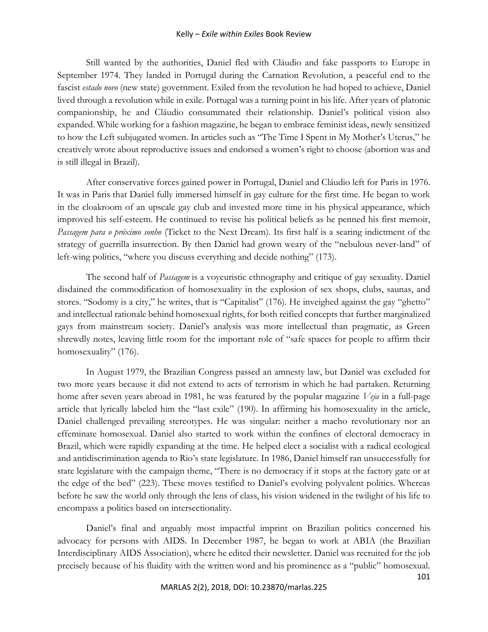## Kelly – *Exile within Exiles* Book Review

Still wanted by the authorities, Daniel fled with Cláudio and fake passports to Europe in September 1974. They landed in Portugal during the Carnation Revolution, a peaceful end to the fascist *estado novo* (new state) government. Exiled from the revolution he had hoped to achieve, Daniel lived through a revolution while in exile. Portugal was a turning point in his life. After years of platonic companionship, he and Cláudio consummated their relationship. Daniel's political vision also expanded. While working for a fashion magazine, he began to embrace feminist ideas, newly sensitized to how the Left subjugated women. In articles such as "The Time I Spent in My Mother's Uterus," he creatively wrote about reproductive issues and endorsed a women's right to choose (abortion was and is still illegal in Brazil).

After conservative forces gained power in Portugal, Daniel and Cláudio left for Paris in 1976. It was in Paris that Daniel fully immersed himself in gay culture for the first time. He began to work in the cloakroom of an upscale gay club and invested more time in his physical appearance, which improved his self-esteem. He continued to revise his political beliefs as he penned his first memoir, *Passagem para o próximo sonho* (Ticket to the Next Dream). Its first half is a searing indictment of the strategy of guerrilla insurrection. By then Daniel had grown weary of the "nebulous never-land" of left-wing politics, "where you discuss everything and decide nothing" (173).

The second half of *Passagem* is a voyeuristic ethnography and critique of gay sexuality. Daniel disdained the commodification of homosexuality in the explosion of sex shops, clubs, saunas, and stores. "Sodomy is a city," he writes, that is "Capitalist" (176). He inveighed against the gay "ghetto" and intellectual rationale behind homosexual rights, for both reified concepts that further marginalized gays from mainstream society. Daniel's analysis was more intellectual than pragmatic, as Green shrewdly notes, leaving little room for the important role of "safe spaces for people to affirm their homosexuality" (176).

In August 1979, the Brazilian Congress passed an amnesty law, but Daniel was excluded for two more years because it did not extend to acts of terrorism in which he had partaken. Returning home after seven years abroad in 1981, he was featured by the popular magazine *Veja* in a full-page article that lyrically labeled him the "last exile" (190). In affirming his homosexuality in the article, Daniel challenged prevailing stereotypes. He was singular: neither a macho revolutionary nor an effeminate homosexual. Daniel also started to work within the confines of electoral democracy in Brazil, which were rapidly expanding at the time. He helped elect a socialist with a radical ecological and antidiscrimination agenda to Rio's state legislature. In 1986, Daniel himself ran unsuccessfully for state legislature with the campaign theme, "There is no democracy if it stops at the factory gate or at the edge of the bed" (223). These moves testified to Daniel's evolving polyvalent politics. Whereas before he saw the world only through the lens of class, his vision widened in the twilight of his life to encompass a politics based on intersectionality.

Daniel's final and arguably most impactful imprint on Brazilian politics concerned his advocacy for persons with AIDS. In December 1987, he began to work at ABIA (the Brazilian Interdisciplinary AIDS Association), where he edited their newsletter. Daniel was recruited for the job precisely because of his fluidity with the written word and his prominence as a "public" homosexual.